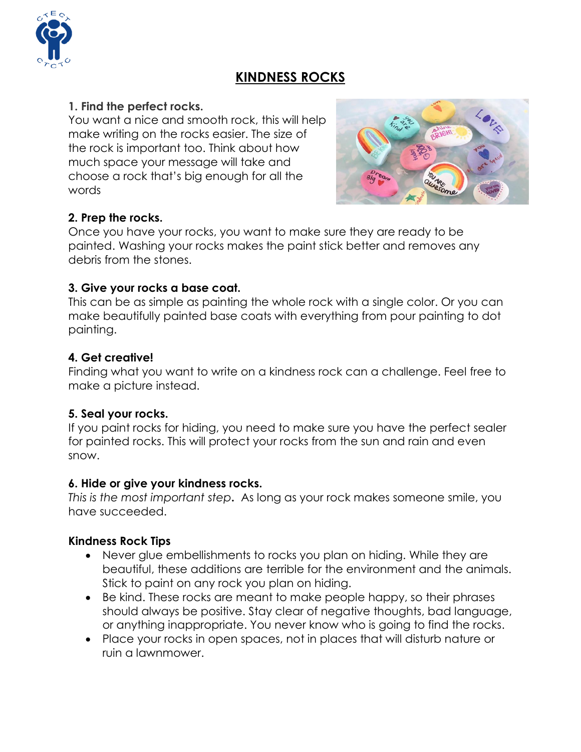# **KINDNESS ROCKS**



You want a nice and smooth rock, this will help make writing on the rocks easier. The size of the rock is important too. Think about how much space your message will take and choose a rock that's big enough for all the words



#### **2. Prep the rocks.**

Once you have your rocks, you want to make sure they are ready to be painted. Washing your rocks makes the paint stick better and removes any debris from the stones.

#### **3. Give your rocks a base coat.**

This can be as simple as [painting](https://rockpainting101.com/base-coat-360/) the whole rock with a single color. Or you can make beautifully painted base coats with everything from pour painting to dot painting.

## **4. Get creative!**

Finding what you want to write on a kindness rock can a challenge. Feel free to make a picture instead.

## **5. Seal your rocks.**

If you paint rocks for hiding, you need to make sure you have the [perfect](https://rockpainting101.com/best-sealer-painted-rocks/) sealer for [painted](https://rockpainting101.com/best-sealer-painted-rocks/) rocks. This will protect your rocks from the sun and rain and even snow.

#### **6. Hide or give your kindness rocks.**

*This is the most important step***.** As long as your rock makes someone smile, you have succeeded.

#### **Kindness Rock Tips**

- Never glue embellishments to rocks you plan on hiding. While they are beautiful, these additions are terrible for the environment and the animals. Stick to paint on any rock you plan on hiding.
- Be kind. These rocks are meant to make people happy, so their phrases should always be positive. Stay clear of negative thoughts, bad language, or anything inappropriate. You never know who is going to find the rocks.
- Place your rocks in open spaces, not in places that will disturb nature or ruin a lawnmower.